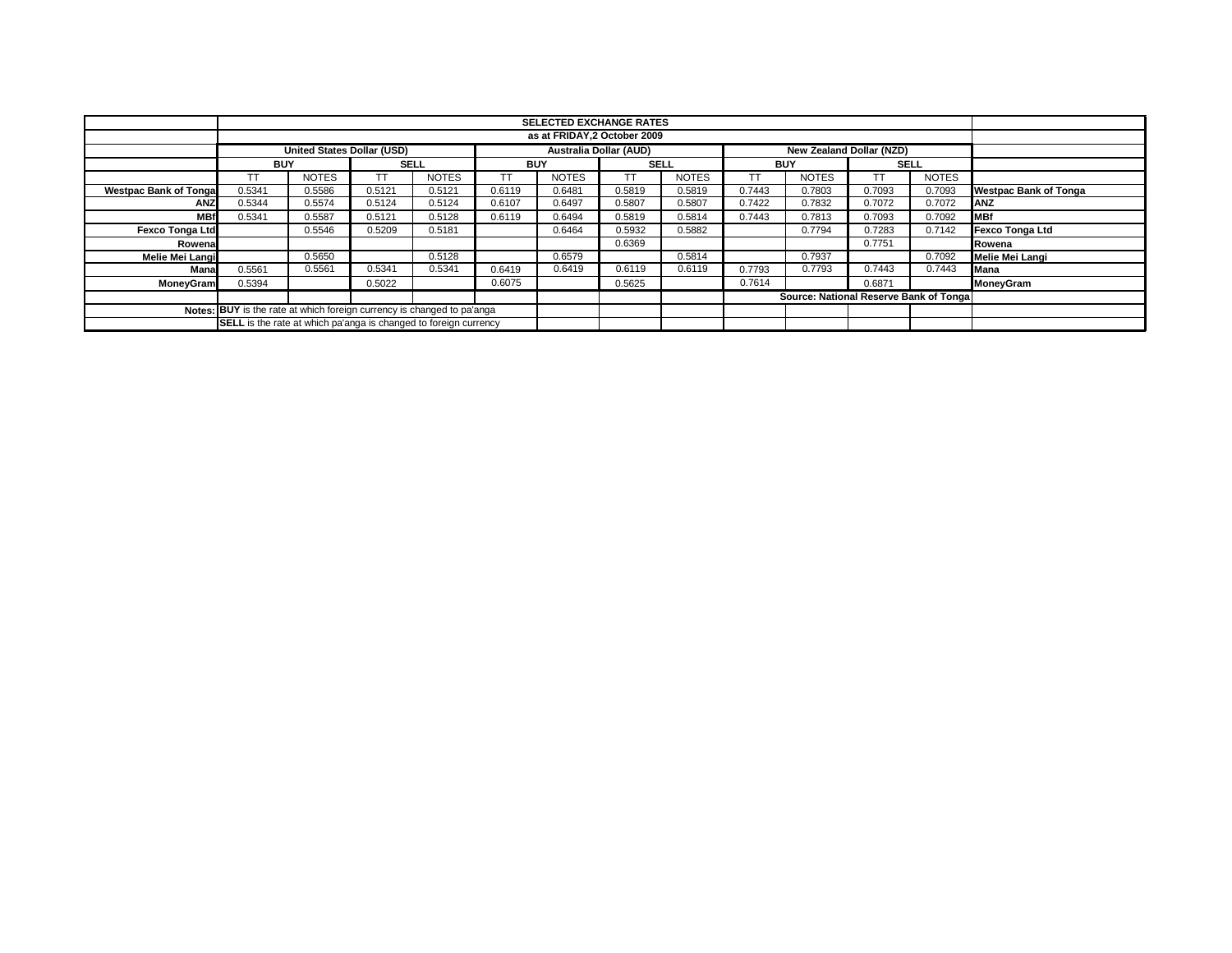|                                                                        |                                                                         | <b>SELECTED EXCHANGE RATES</b> |             |              |            |              |                               |              |            |                                        |             |              |                              |
|------------------------------------------------------------------------|-------------------------------------------------------------------------|--------------------------------|-------------|--------------|------------|--------------|-------------------------------|--------------|------------|----------------------------------------|-------------|--------------|------------------------------|
|                                                                        |                                                                         | as at FRIDAY, 2 October 2009   |             |              |            |              |                               |              |            |                                        |             |              |                              |
|                                                                        | <b>United States Dollar (USD)</b>                                       |                                |             |              |            |              | <b>Australia Dollar (AUD)</b> |              |            | New Zealand Dollar (NZD)               |             |              |                              |
|                                                                        | <b>BUY</b>                                                              |                                | <b>SELL</b> |              | <b>BUY</b> |              | <b>SELL</b>                   |              | <b>BUY</b> |                                        | <b>SELL</b> |              |                              |
|                                                                        | <b>TT</b>                                                               | <b>NOTES</b>                   | <b>TT</b>   | <b>NOTES</b> | <b>TT</b>  | <b>NOTES</b> | TΤ                            | <b>NOTES</b> | TT         | <b>NOTES</b>                           |             | <b>NOTES</b> |                              |
| <b>Westpac Bank of Tonga</b>                                           | 0.5341                                                                  | 0.5586                         | 0.5121      | 0.5121       | 0.6119     | 0.6481       | 0.5819                        | 0.5819       | 0.7443     | 0.7803                                 | 0.7093      | 0.7093       | <b>Westpac Bank of Tonga</b> |
| <b>ANZ</b>                                                             | 0.5344                                                                  | 0.5574                         | 0.5124      | 0.5124       | 0.6107     | 0.6497       | 0.5807                        | 0.5807       | 0.7422     | 0.7832                                 | 0.7072      | 0.7072       | <b>ANZ</b>                   |
| <b>MBf</b>                                                             | 0.5341                                                                  | 0.5587                         | 0.5121      | 0.5128       | 0.6119     | 0.6494       | 0.5819                        | 0.5814       | 0.7443     | 0.7813                                 | 0.7093      | 0.7092       | <b>MBf</b>                   |
| Fexco Tonga Ltd                                                        |                                                                         | 0.5546                         | 0.5209      | 0.5181       |            | 0.6464       | 0.5932                        | 0.5882       |            | 0.7794                                 | 0.7283      | 0.7142       | <b>Fexco Tonga Ltd</b>       |
| Rowena                                                                 |                                                                         |                                |             |              |            |              | 0.6369                        |              |            |                                        | 0.7751      |              | Rowena                       |
| Melie Mei Langi                                                        |                                                                         | 0.5650                         |             | 0.5128       |            | 0.6579       |                               | 0.5814       |            | 0.7937                                 |             | 0.7092       | Melie Mei Langi              |
| Mana                                                                   | 0.5561                                                                  | 0.5561                         | 0.5341      | 0.5341       | 0.6419     | 0.6419       | 0.6119                        | 0.6119       | 0.7793     | 0.7793                                 | 0.7443      | 0.7443       | Mana                         |
| <b>MoneyGram</b>                                                       | 0.5394                                                                  |                                | 0.5022      |              | 0.6075     |              | 0.5625                        |              | 0.7614     |                                        | 0.6871      |              | MoneyGram                    |
|                                                                        |                                                                         |                                |             |              |            |              |                               |              |            | Source: National Reserve Bank of Tonga |             |              |                              |
| Notes: BUY is the rate at which foreign currency is changed to pa'anga |                                                                         |                                |             |              |            |              |                               |              |            |                                        |             |              |                              |
|                                                                        | <b>SELL</b> is the rate at which pa'anga is changed to foreign currency |                                |             |              |            |              |                               |              |            |                                        |             |              |                              |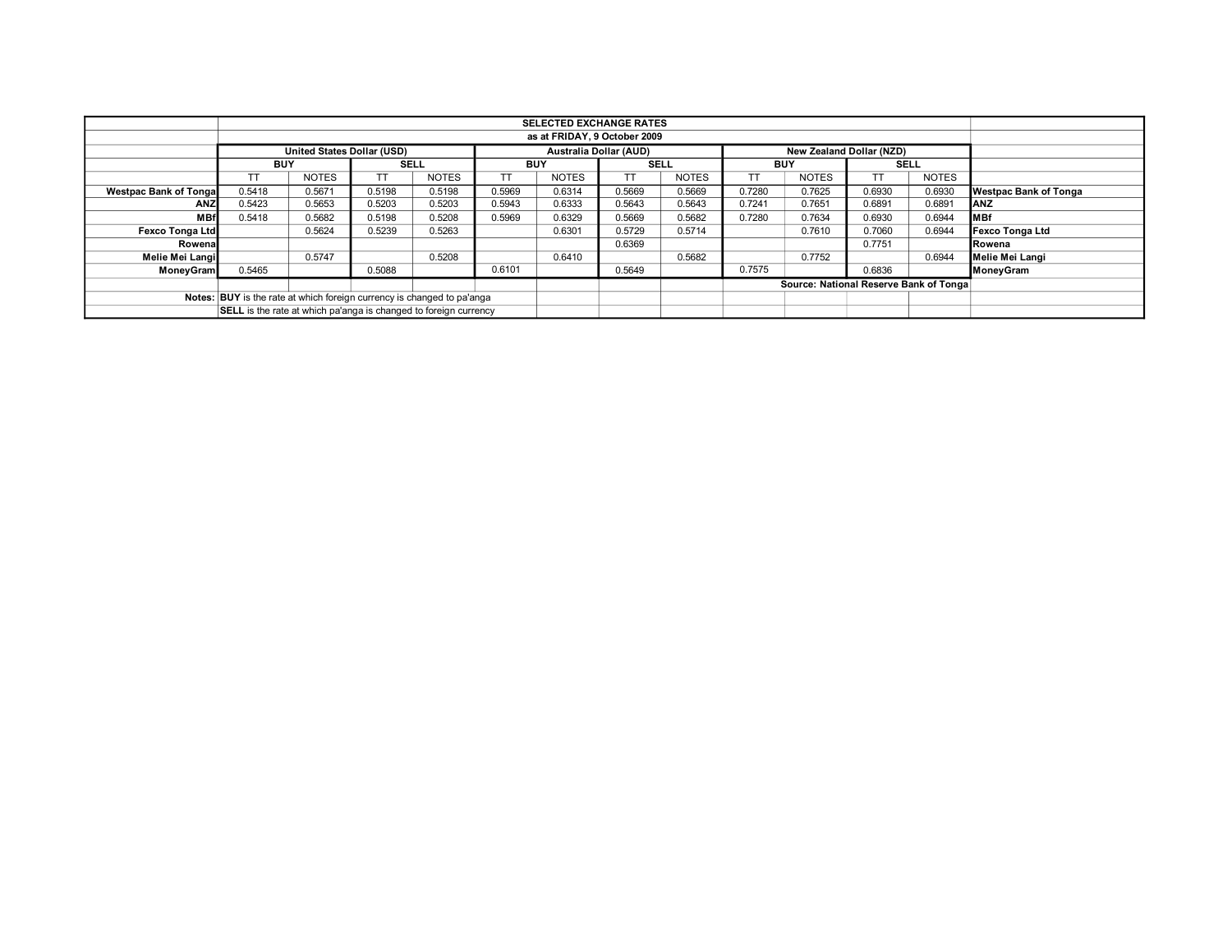|                                                                        | <b>SELECTED EXCHANGE RATES</b>                                   |                            |             |              |            |                               |             |              |                                        |                                 |             |              |                              |  |
|------------------------------------------------------------------------|------------------------------------------------------------------|----------------------------|-------------|--------------|------------|-------------------------------|-------------|--------------|----------------------------------------|---------------------------------|-------------|--------------|------------------------------|--|
| as at FRIDAY, 9 October 2009                                           |                                                                  |                            |             |              |            |                               |             |              |                                        |                                 |             |              |                              |  |
|                                                                        |                                                                  | United States Dollar (USD) |             |              |            | <b>Australia Dollar (AUD)</b> |             |              |                                        | <b>New Zealand Dollar (NZD)</b> |             |              |                              |  |
|                                                                        | <b>BUY</b>                                                       |                            | <b>SELL</b> |              | <b>BUY</b> |                               | <b>SELL</b> |              | <b>BUY</b>                             |                                 | <b>SELL</b> |              |                              |  |
|                                                                        | TT.                                                              | <b>NOTES</b>               |             | <b>NOTES</b> |            | <b>NOTES</b>                  | TT.         | <b>NOTES</b> |                                        | <b>NOTES</b>                    |             | <b>NOTES</b> |                              |  |
| <b>Westpac Bank of Tongal</b>                                          | 0.5418                                                           | 0.5671                     | 0.5198      | 0.5198       | 0.5969     | 0.6314                        | 0.5669      | 0.5669       | 0.7280                                 | 0.7625                          | 0.6930      | 0.6930       | <b>Westpac Bank of Tonga</b> |  |
| ANZ                                                                    | 0.5423                                                           | 0.5653                     | 0.5203      | 0.5203       | 0.5943     | 0.6333                        | 0.5643      | 0.5643       | 0.7241                                 | 0.7651                          | 0.6891      | 0.6891       | <b>IANZ</b>                  |  |
| <b>MBf</b>                                                             | 0.5418                                                           | 0.5682                     | 0.5198      | 0.5208       | 0.5969     | 0.6329                        | 0.5669      | 0.5682       | 0.7280                                 | 0.7634                          | 0.6930      | 0.6944       | <b>MBf</b>                   |  |
| <b>Fexco Tonga Ltd</b>                                                 |                                                                  | 0.5624                     | 0.5239      | 0.5263       |            | 0.6301                        | 0.5729      | 0.5714       |                                        | 0.7610                          | 0.7060      | 0.6944       | Fexco Tonga Ltd              |  |
| Rowena                                                                 |                                                                  |                            |             |              |            |                               | 0.6369      |              |                                        |                                 | 0.7751      |              | Rowena                       |  |
| Melie Mei Langi                                                        |                                                                  | 0.5747                     |             | 0.5208       |            | 0.6410                        |             | 0.5682       |                                        | 0.7752                          |             | 0.6944       | Melie Mei Langi              |  |
| MoneyGram                                                              | 0.5465                                                           |                            | 0.5088      |              | 0.6101     |                               | 0.5649      |              | 0.7575                                 |                                 | 0.6836      |              | MoneyGram                    |  |
|                                                                        |                                                                  |                            |             |              |            |                               |             |              | Source: National Reserve Bank of Tonga |                                 |             |              |                              |  |
| Notes: BUY is the rate at which foreign currency is changed to pa'anga |                                                                  |                            |             |              |            |                               |             |              |                                        |                                 |             |              |                              |  |
|                                                                        | SELL is the rate at which pa'anga is changed to foreign currency |                            |             |              |            |                               |             |              |                                        |                                 |             |              |                              |  |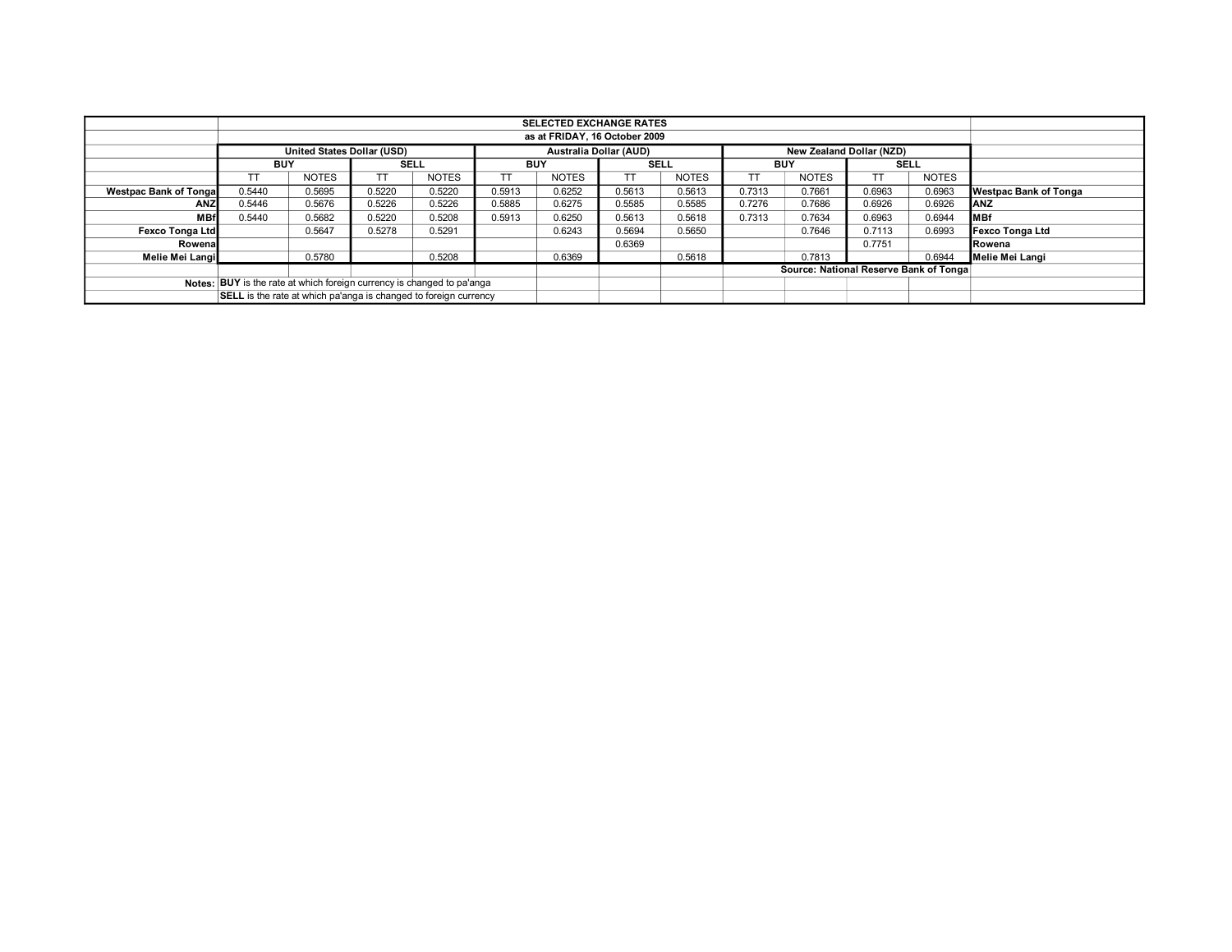|                                                                        |                                                                  |              |             |              |            | <b>SELECTED EXCHANGE RATES</b> |                                        |              |            |                          |             |              |                              |
|------------------------------------------------------------------------|------------------------------------------------------------------|--------------|-------------|--------------|------------|--------------------------------|----------------------------------------|--------------|------------|--------------------------|-------------|--------------|------------------------------|
|                                                                        | as at FRIDAY, 16 October 2009                                    |              |             |              |            |                                |                                        |              |            |                          |             |              |                              |
|                                                                        | <b>United States Dollar (USD)</b>                                |              |             |              |            |                                | <b>Australia Dollar (AUD)</b>          |              |            | New Zealand Dollar (NZD) |             |              |                              |
|                                                                        | <b>BUY</b>                                                       |              | <b>SELL</b> |              | <b>BUY</b> |                                | <b>SELL</b>                            |              | <b>BUY</b> |                          | <b>SELL</b> |              |                              |
|                                                                        |                                                                  | <b>NOTES</b> | TT          | <b>NOTES</b> |            | <b>NOTES</b>                   | TT                                     | <b>NOTES</b> |            | <b>NOTES</b>             |             | <b>NOTES</b> |                              |
| <b>Westpac Bank of Tongal</b>                                          | 0.5440                                                           | 0.5695       | 0.5220      | 0.5220       | 0.5913     | 0.6252                         | 0.5613                                 | 0.5613       | 0.7313     | 0.7661                   | 0.6963      | 0.6963       | <b>Westpac Bank of Tonga</b> |
| ANZ                                                                    | 0.5446                                                           | 0.5676       | 0.5226      | 0.5226       | 0.5885     | 0.6275                         | 0.5585                                 | 0.5585       | 0.7276     | 0.7686                   | 0.6926      | 0.6926       | <b>IANZ</b>                  |
| <b>MBf</b>                                                             | 0.5440                                                           | 0.5682       | 0.5220      | 0.5208       | 0.5913     | 0.6250                         | 0.5613                                 | 0.5618       | 0.7313     | 0.7634                   | 0.6963      | 0.6944       | <b>IMBf</b>                  |
| <b>Fexco Tonga Ltd</b>                                                 |                                                                  | 0.5647       | 0.5278      | 0.5291       |            | 0.6243                         | 0.5694                                 | 0.5650       |            | 0.7646                   | 0.7113      | 0.6993       | Fexco Tonga Ltd              |
| Rowena                                                                 |                                                                  |              |             |              |            |                                | 0.6369                                 |              |            |                          | 0.7751      |              | Rowena                       |
| Melie Mei Langi                                                        |                                                                  | 0.5780       |             | 0.5208       |            | 0.6369                         |                                        | 0.5618       |            | 0.7813                   |             | 0.6944       | Melie Mei Langi              |
|                                                                        |                                                                  |              |             |              |            |                                | Source: National Reserve Bank of Tonga |              |            |                          |             |              |                              |
| Notes: BUY is the rate at which foreign currency is changed to pa'anga |                                                                  |              |             |              |            |                                |                                        |              |            |                          |             |              |                              |
|                                                                        | SELL is the rate at which pa'anga is changed to foreign currency |              |             |              |            |                                |                                        |              |            |                          |             |              |                              |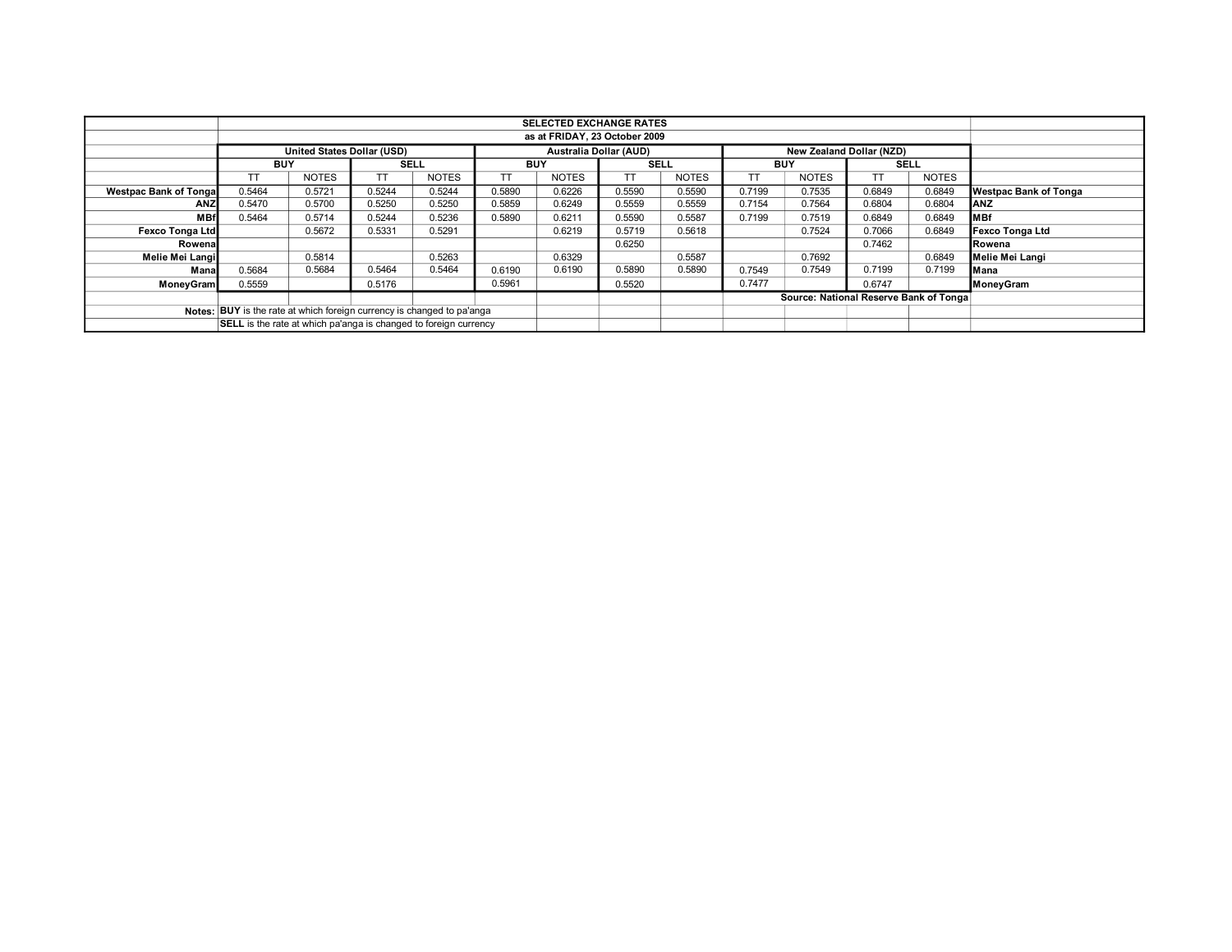|                                                                        |                                                                  |                               |             |              |            | <b>SELECTED EXCHANGE RATES</b> |             |                                        |            |                                 |             |              |                              |
|------------------------------------------------------------------------|------------------------------------------------------------------|-------------------------------|-------------|--------------|------------|--------------------------------|-------------|----------------------------------------|------------|---------------------------------|-------------|--------------|------------------------------|
|                                                                        |                                                                  | as at FRIDAY, 23 October 2009 |             |              |            |                                |             |                                        |            |                                 |             |              |                              |
|                                                                        | United States Dollar (USD)                                       |                               |             |              |            | <b>Australia Dollar (AUD)</b>  |             |                                        |            | <b>New Zealand Dollar (NZD)</b> |             |              |                              |
|                                                                        | <b>BUY</b>                                                       |                               | <b>SELL</b> |              | <b>BUY</b> |                                | <b>SELL</b> |                                        | <b>BUY</b> |                                 | <b>SELL</b> |              |                              |
|                                                                        | TΤ                                                               | <b>NOTES</b>                  | ТT          | <b>NOTES</b> | TT         | <b>NOTES</b>                   | TT.         | <b>NOTES</b>                           |            | <b>NOTES</b>                    |             | <b>NOTES</b> |                              |
| <b>Westpac Bank of Tongal</b>                                          | 0.5464                                                           | 0.5721                        | 0.5244      | 0.5244       | 0.5890     | 0.6226                         | 0.5590      | 0.5590                                 | 0.7199     | 0.7535                          | 0.6849      | 0.6849       | <b>Westpac Bank of Tonga</b> |
| <b>ANZ</b>                                                             | 0.5470                                                           | 0.5700                        | 0.5250      | 0.5250       | 0.5859     | 0.6249                         | 0.5559      | 0.5559                                 | 0.7154     | 0.7564                          | 0.6804      | 0.6804       | <b>ANZ</b>                   |
| <b>MBf</b>                                                             | 0.5464                                                           | 0.5714                        | 0.5244      | 0.5236       | 0.5890     | 0.6211                         | 0.5590      | 0.5587                                 | 0.7199     | 0.7519                          | 0.6849      | 0.6849       | <b>MBf</b>                   |
| <b>Fexco Tonga Ltd</b>                                                 |                                                                  | 0.5672                        | 0.5331      | 0.5291       |            | 0.6219                         | 0.5719      | 0.5618                                 |            | 0.7524                          | 0.7066      | 0.6849       | <b>Fexco Tonga Ltd</b>       |
| Rowenal                                                                |                                                                  |                               |             |              |            |                                | 0.6250      |                                        |            |                                 | 0.7462      |              | Rowena                       |
| Melie Mei Langi                                                        |                                                                  | 0.5814                        |             | 0.5263       |            | 0.6329                         |             | 0.5587                                 |            | 0.7692                          |             | 0.6849       | Melie Mei Langi              |
| Mana                                                                   | 0.5684                                                           | 0.5684                        | 0.5464      | 0.5464       | 0.6190     | 0.6190                         | 0.5890      | 0.5890                                 | 0.7549     | 0.7549                          | 0.7199      | 0.7199       | Mana                         |
| MoneyGram                                                              | 0.5559                                                           |                               | 0.5176      |              | 0.5961     |                                | 0.5520      |                                        | 0.7477     |                                 | 0.6747      |              | MoneyGram                    |
|                                                                        |                                                                  |                               |             |              |            |                                |             | Source: National Reserve Bank of Tonga |            |                                 |             |              |                              |
| Notes: BUY is the rate at which foreign currency is changed to pa'anga |                                                                  |                               |             |              |            |                                |             |                                        |            |                                 |             |              |                              |
|                                                                        | SELL is the rate at which pa'anga is changed to foreign currency |                               |             |              |            |                                |             |                                        |            |                                 |             |              |                              |